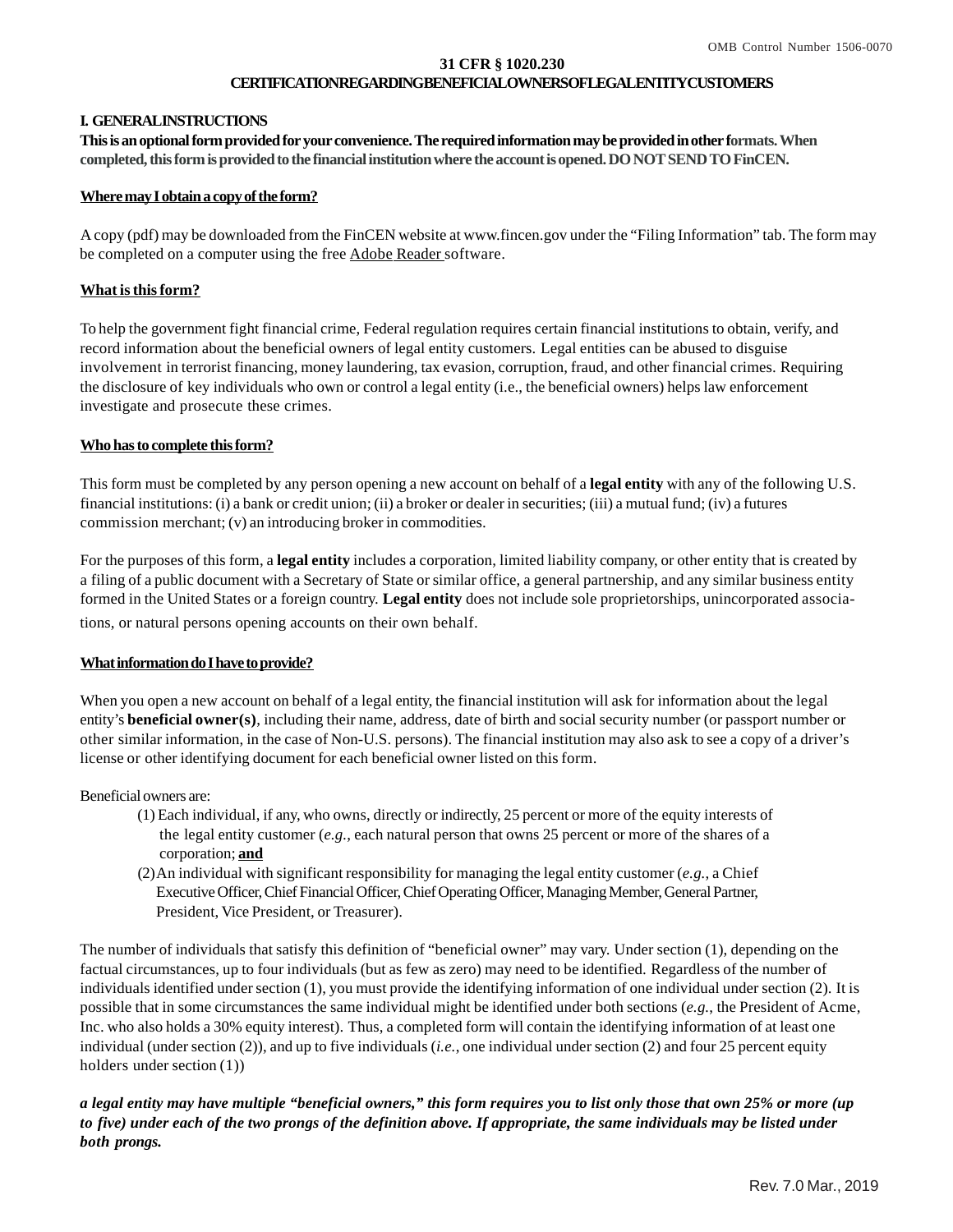#### **31 CFR § 1020.230 CERTIFICATIONREGARDINGBENEFICIALOWNERSOFLEGALENTITYCUSTOMERS**

### **I. GENERALINSTRUCTIONS**

**This is an optional form provided for your convenience. The required information may be provided in other formats. When completed, this form is provided to the financial institution where the account is opened. DO NOT SEND TO FinCEN.**

### **Where may I obtain a copy of the form?**

 A copy (pdf) may be downloaded from the FinCEN website at www.fincen.gov under the "Filing Information" tab. The form may be completed on a computer using the free Adobe Reader software.

### **What isthisform?**

To help the government fight financial crime, Federal regulation requires certain financial institutions to obtain, verify, and record information about the beneficial owners of legal entity customers. Legal entities can be abused to disguise involvement in terrorist financing, money laundering, tax evasion, corruption, fraud, and other financial crimes. Requiring the disclosure of key individuals who own or control a legal entity (i.e., the beneficial owners) helps law enforcement investigate and prosecute these crimes.

### **Who has to complete this form?**

This form must be completed by any person opening a new account on behalf of a **legal entity** with any of the following U.S. financial institutions: (i) a bank or credit union; (ii) a broker or dealer in securities; (iii) a mutual fund; (iv) a futures commission merchant; (v) an introducing broker in commodities.

For the purposes of this form, a **legal entity** includes a corporation, limited liability company, or other entity that is created by a filing of a public document with a Secretary of State or similar office, a general partnership, and any similar business entity formed in the United States or a foreign country. **Legal entity** does not include sole proprietorships, unincorporated associations, or natural persons opening accounts on their own behalf.

### **What information do Ihave to provide?**

When you open a new account on behalf of a legal entity, the financial institution will ask for information about the legal entity's **beneficial owner(s)**, including their name, address, date of birth and social security number (or passport number or other similar information, in the case of Non-U.S. persons). The financial institution may also ask to see a copy of a driver's license or other identifying document for each beneficial owner listed on this form.

Beneficial owners are:

- (1) Each individual, if any, who owns, directly or indirectly, 25 percent or more of the equity interests of the legal entity customer (*e.g.*, each natural person that owns 25 percent or more of the shares of a corporation; **and**
- (2)An individual with significant responsibility for managing the legal entity customer (*e.g.*, a Chief Executive Officer, Chief Financial Officer, Chief Operating Officer, Managing Member, General Partner, President, Vice President, or Treasurer).

The number of individuals that satisfy this definition of "beneficial owner" may vary. Under section (1), depending on the factual circumstances, up to four individuals (but as few as zero) may need to be identified. Regardless of the number of individuals identified under section (1), you must provide the identifying information of one individual under section (2). It is possible that in some circumstances the same individual might be identified under both sections (*e.g.*, the President of Acme, Inc. who also holds a 30% equity interest). Thus, a completed form will contain the identifying information of at least one individual (under section (2)), and up to five individuals (*i.e.*, one individual under section (2) and four 25 percent equity holders under section (1))

*a legal entity may have multiple "beneficial owners," this form requires you to list only those that own 25% or more (up to five) under each of the two prongs of the definition above. If appropriate, the same individuals may be listed under both prongs.*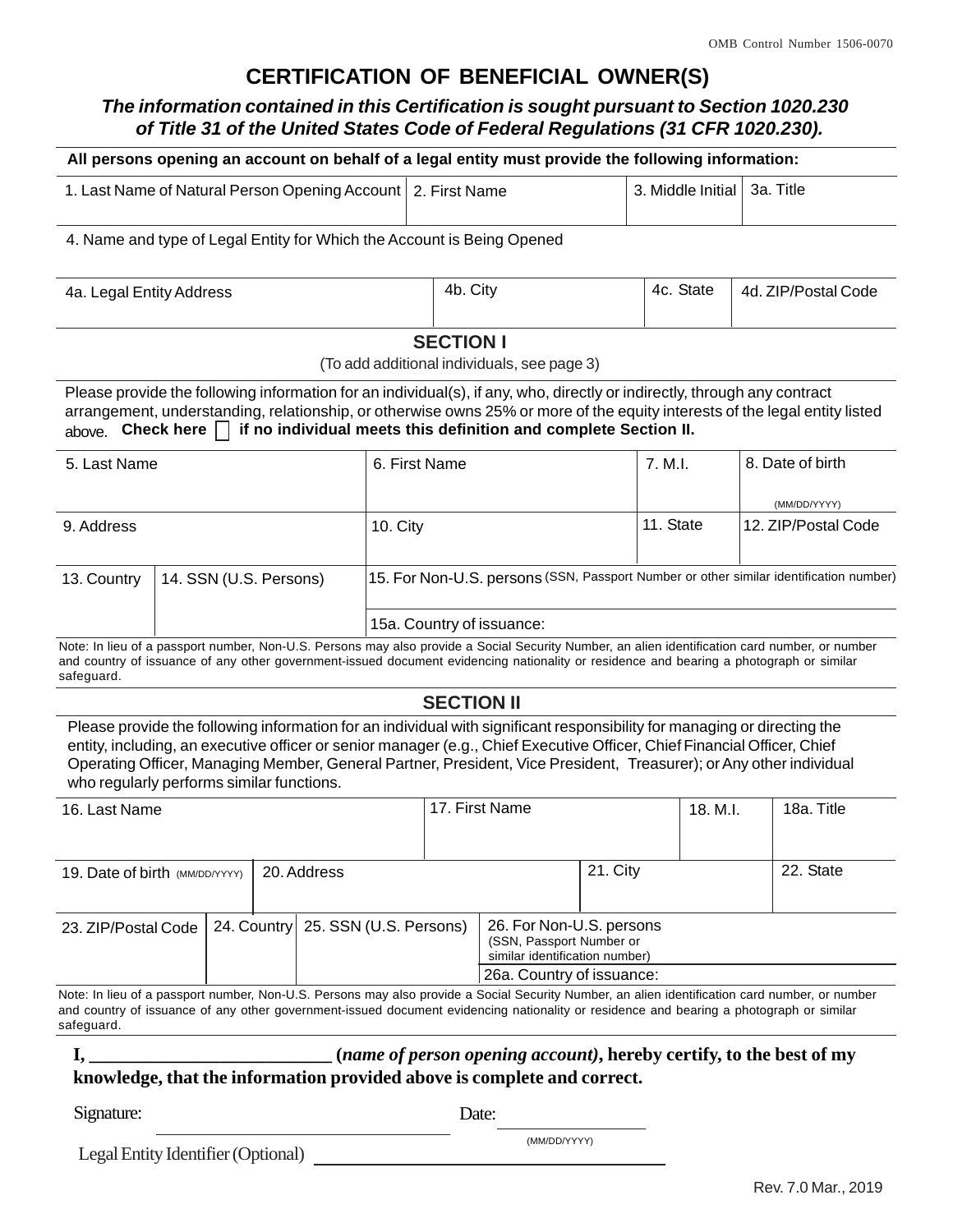# **CERTIFICATION OF BENEFICIAL OWNER(S)**

# *The information contained in this Certification is sought pursuant to Section 1020.230 of Title 31 of the United States Code of Federal Regulations (31 CFR 1020.230).*

|                                                                        |                        |  |  |  |                                                                                                                     |                   | All persons opening an account on behalf of a legal entity must provide the following information:                                                                                                                                                                                                                                                                          |          |                   |                  |                                                                                                                                                |
|------------------------------------------------------------------------|------------------------|--|--|--|---------------------------------------------------------------------------------------------------------------------|-------------------|-----------------------------------------------------------------------------------------------------------------------------------------------------------------------------------------------------------------------------------------------------------------------------------------------------------------------------------------------------------------------------|----------|-------------------|------------------|------------------------------------------------------------------------------------------------------------------------------------------------|
| 1. Last Name of Natural Person Opening Account                         |                        |  |  |  |                                                                                                                     | 2. First Name     |                                                                                                                                                                                                                                                                                                                                                                             |          | 3. Middle Initial |                  | 3a. Title                                                                                                                                      |
| 4. Name and type of Legal Entity for Which the Account is Being Opened |                        |  |  |  |                                                                                                                     |                   |                                                                                                                                                                                                                                                                                                                                                                             |          |                   |                  |                                                                                                                                                |
| 4a. Legal Entity Address                                               |                        |  |  |  |                                                                                                                     | 4b. City          |                                                                                                                                                                                                                                                                                                                                                                             |          | 4c. State         |                  | 4d. ZIP/Postal Code                                                                                                                            |
|                                                                        |                        |  |  |  |                                                                                                                     | <b>SECTION I</b>  | (To add additional individuals, see page 3)                                                                                                                                                                                                                                                                                                                                 |          |                   |                  |                                                                                                                                                |
| above. Check here $\Box$                                               |                        |  |  |  |                                                                                                                     |                   | Please provide the following information for an individual(s), if any, who, directly or indirectly, through any contract<br>if no individual meets this definition and complete Section II.                                                                                                                                                                                 |          |                   |                  | arrangement, understanding, relationship, or otherwise owns 25% or more of the equity interests of the legal entity listed                     |
| 5. Last Name                                                           |                        |  |  |  | 6. First Name                                                                                                       |                   |                                                                                                                                                                                                                                                                                                                                                                             | 7. M.L.  |                   | 8. Date of birth |                                                                                                                                                |
| 9. Address                                                             |                        |  |  |  | 10. City                                                                                                            |                   |                                                                                                                                                                                                                                                                                                                                                                             |          | 11. State         |                  | (MM/DD/YYYY)<br>12. ZIP/Postal Code                                                                                                            |
| 13. Country                                                            | 14. SSN (U.S. Persons) |  |  |  | 15. For Non-U.S. persons (SSN, Passport Number or other similar identification number)                              |                   |                                                                                                                                                                                                                                                                                                                                                                             |          |                   |                  |                                                                                                                                                |
|                                                                        |                        |  |  |  |                                                                                                                     |                   | 15a. Country of issuance:                                                                                                                                                                                                                                                                                                                                                   |          |                   |                  |                                                                                                                                                |
| safeguard.                                                             |                        |  |  |  |                                                                                                                     |                   | and country of issuance of any other government-issued document evidencing nationality or residence and bearing a photograph or similar                                                                                                                                                                                                                                     |          |                   |                  | Note: In lieu of a passport number, Non-U.S. Persons may also provide a Social Security Number, an alien identification card number, or number |
|                                                                        |                        |  |  |  |                                                                                                                     | <b>SECTION II</b> |                                                                                                                                                                                                                                                                                                                                                                             |          |                   |                  |                                                                                                                                                |
| who regularly performs similar functions.                              |                        |  |  |  |                                                                                                                     |                   | Please provide the following information for an individual with significant responsibility for managing or directing the<br>entity, including, an executive officer or senior manager (e.g., Chief Executive Officer, Chief Financial Officer, Chief<br>Operating Officer, Managing Member, General Partner, President, Vice President, Treasurer); or Any other individual |          |                   |                  |                                                                                                                                                |
| 16. Last Name                                                          |                        |  |  |  | 17. First Name                                                                                                      |                   |                                                                                                                                                                                                                                                                                                                                                                             | 18. M.I. |                   | 18a. Title       |                                                                                                                                                |
| 20. Address<br>19. Date of birth (MM/DD/YYYY)                          |                        |  |  |  |                                                                                                                     |                   | 21. City                                                                                                                                                                                                                                                                                                                                                                    |          |                   | 22. State        |                                                                                                                                                |
| 24. Country 25. SSN (U.S. Persons)<br>23. ZIP/Postal Code              |                        |  |  |  | 26. For Non-U.S. persons<br>(SSN, Passport Number or<br>similar identification number)<br>26a. Country of issuance: |                   |                                                                                                                                                                                                                                                                                                                                                                             |          |                   |                  |                                                                                                                                                |
| safeguard.                                                             |                        |  |  |  |                                                                                                                     |                   | and country of issuance of any other government-issued document evidencing nationality or residence and bearing a photograph or similar                                                                                                                                                                                                                                     |          |                   |                  | Note: In lieu of a passport number, Non-U.S. Persons may also provide a Social Security Number, an alien identification card number, or number |
|                                                                        |                        |  |  |  |                                                                                                                     |                   | I, ________________________________(name of person opening account), hereby certify, to the best of my<br>knowledge, that the information provided above is complete and correct.                                                                                                                                                                                           |          |                   |                  |                                                                                                                                                |
| Signature:                                                             |                        |  |  |  |                                                                                                                     | Date:             |                                                                                                                                                                                                                                                                                                                                                                             |          |                   |                  |                                                                                                                                                |
| Legal Entity Identifier (Optional)                                     |                        |  |  |  | (MM/DD/YYYY)                                                                                                        |                   |                                                                                                                                                                                                                                                                                                                                                                             |          |                   |                  |                                                                                                                                                |
|                                                                        |                        |  |  |  |                                                                                                                     |                   |                                                                                                                                                                                                                                                                                                                                                                             |          |                   |                  | Rev. 7.0 Mar., 2019                                                                                                                            |